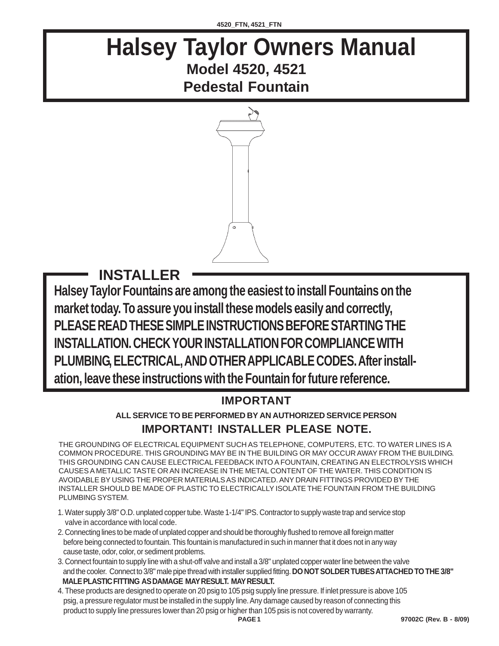## **Halsey Taylor Owners Manual Model 4520, 4521 Pedestal Fountain**



**Halsey Taylor Fountains are among the easiest to install Fountains on the market today. To assure you install these models easily and correctly, PLEASE READ THESE SIMPLE INSTRUCTIONS BEFORE STARTING THE INSTALLATION. CHECK YOUR INSTALLATION FOR COMPLIANCE WITH PLUMBING, ELECTRICAL, AND OTHER APPLICABLE CODES. After installation, leave these instructions with the Fountain for future reference. INSTALLER**

## **IMPORTANT**

## **ALL SERVICE TO BE PERFORMED BY AN AUTHORIZED SERVICE PERSON IMPORTANT! INSTALLER PLEASE NOTE.**

THE GROUNDING OF ELECTRICAL EQUIPMENT SUCH AS TELEPHONE, COMPUTERS, ETC. TO WATER LINES IS A COMMON PROCEDURE. THIS GROUNDING MAY BE IN THE BUILDING OR MAY OCCUR AWAY FROM THE BUILDING. THIS GROUNDING CAN CAUSE ELECTRICAL FEEDBACK INTO A FOUNTAIN, CREATING AN ELECTROLYSIS WHICH CAUSES A METALLIC TASTE OR AN INCREASE IN THE METAL CONTENT OF THE WATER. THIS CONDITION IS AVOIDABLE BY USING THE PROPER MATERIALS AS INDICATED. ANY DRAIN FITTINGS PROVIDED BY THE INSTALLER SHOULD BE MADE OF PLASTIC TO ELECTRICALLY ISOLATE THE FOUNTAIN FROM THE BUILDING PLUMBING SYSTEM.

- 1. Water supply 3/8" O.D. unplated copper tube. Waste 1-1/4" IPS. Contractor to supply waste trap and service stop valve in accordance with local code.
- 2. Connecting lines to be made of unplated copper and should be thoroughly flushed to remove all foreign matter before being connected to fountain. This fountain is manufactured in such in manner that it does not in any way cause taste, odor, color, or sediment problems.
- 3. Connect fountain to supply line with a shut-off valve and install a 3/8" unplated copper water line between the valve and the cooler. Connect to 3/8" male pipe thread with installer supplied fitting. **DO NOT SOLDER TUBES ATTACHED TO THE 3/8" MALE PLASTIC FITTING AS DAMAGE MAY RESULT. MAY RESULT.**
- 4. These products are designed to operate on 20 psig to 105 psig supply line pressure. If inlet pressure is above 105 psig, a pressure regulator must be installed in the supply line. Any damage caused by reason of connecting this product to supply line pressures lower than 20 psig or higher than 105 psis is not covered by warranty.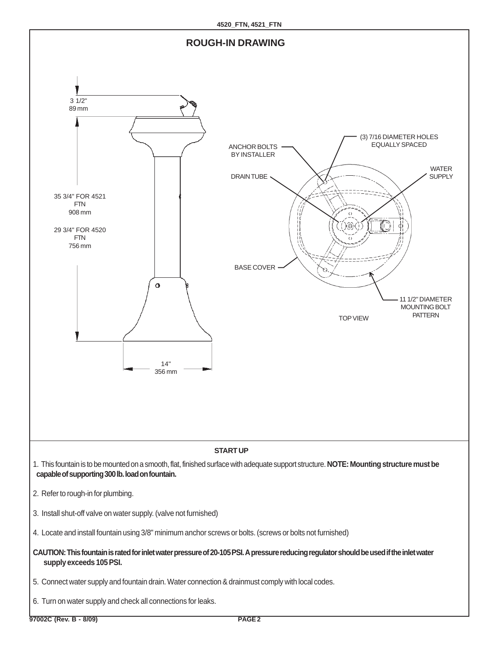

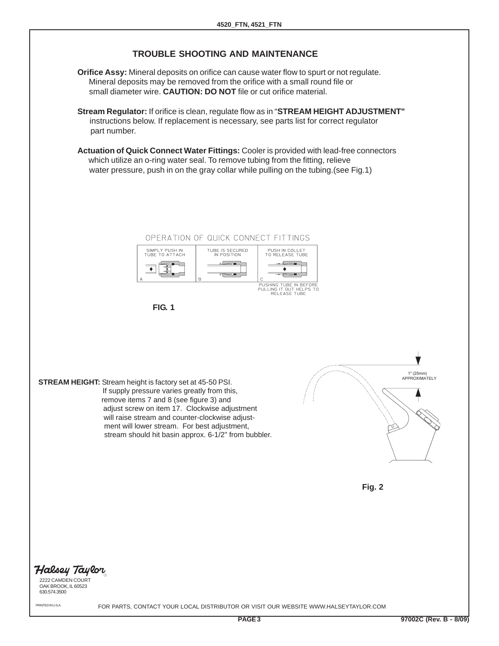## **TROUBLE SHOOTING AND MAINTENANCE**

- **Orifice Assy:** Mineral deposits on orifice can cause water flow to spurt or not regulate. Mineral deposits may be removed from the orifice with a small round file or small diameter wire. **CAUTION: DO NOT** file or cut orifice material.
- **Stream Regulator:** If orifice is clean, regulate flow as in "**STREAM HEIGHT ADJUSTMENT"** instructions below. If replacement is necessary, see parts list for correct regulator part number.
- **Actuation of Quick Connect Water Fittings:** Cooler is provided with lead-free connectors which utilize an o-ring water seal. To remove tubing from the fitting, relieve water pressure, push in on the gray collar while pulling on the tubing.(see Fig.1)